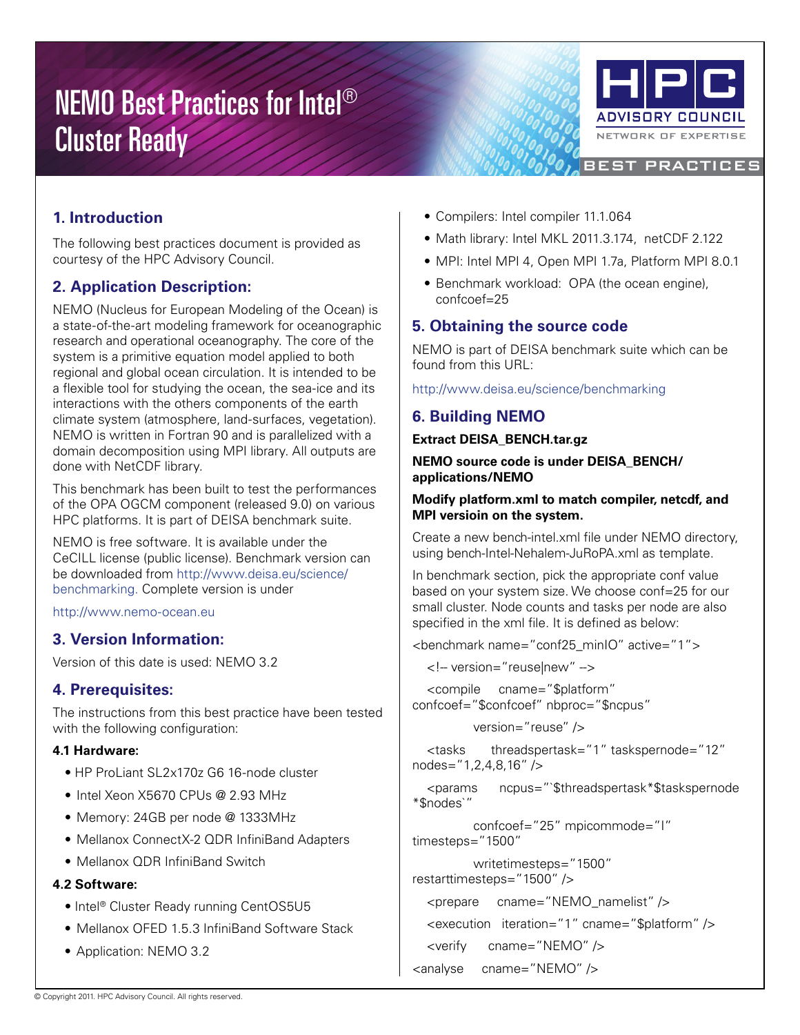# NEMO Best Practices for Intel® Cluster Ready



BEST PRACTICES

**1. Introduction**

The following best practices document is provided as courtesy of the HPC Advisory Council.

# **2. Application Description:**

NEMO (Nucleus for European Modeling of the Ocean) is a state-of-the-art modeling framework for oceanographic research and operational oceanography. The core of the system is a primitive equation model applied to both regional and global ocean circulation. It is intended to be a flexible tool for studying the ocean, the sea-ice and its interactions with the others components of the earth climate system (atmosphere, land-surfaces, vegetation). NEMO is written in Fortran 90 and is parallelized with a domain decomposition using MPI library. All outputs are done with NetCDF library.

This benchmark has been built to test the performances of the OPA OGCM component (released 9.0) on various HPC platforms. It is part of DEISA benchmark suite.

NEMO is free software. It is available under the CeCILL license (public license). Benchmark version can be downloaded from http://www.deisa.eu/science/ benchmarking. Complete version is under

http://www.nemo-ocean.eu

## **3. Version Information:**

Version of this date is used: NEMO 3.2

## **4. Prerequisites:**

The instructions from this best practice have been tested with the following configuration:

## **4.1 Hardware:**

- HP ProLiant SL2x170z G6 16-node cluster
- Intel Xeon X5670 CPUs @ 2.93 MHz
- Memory: 24GB per node @ 1333MHz
- Mellanox ConnectX-2 QDR InfiniBand Adapters
- Mellanox QDR InfiniBand Switch

## **4.2 Software:**

- Intel® Cluster Ready running CentOS5U5
- Mellanox OFED 1.5.3 InfiniBand Software Stack
- Application: NEMO 3.2
- Compilers: Intel compiler 11.1.064
- Math library: Intel MKL 2011.3.174, netCDF 2.122
- MPI: Intel MPI 4, Open MPI 1.7a, Platform MPI 8.0.1
- Benchmark workload: OPA (the ocean engine), confcoef=25

## **5. Obtaining the source code**

NEMO is part of DEISA benchmark suite which can be found from this URL:

http://www.deisa.eu/science/benchmarking

# **6. Building NEMO**

**Extract DEISA\_BENCH.tar.gz**

**NEMO source code is under DEISA\_BENCH/ applications/NEMO**

#### **Modify platform.xml to match compiler, netcdf, and MPI versioin on the system.**

Create a new bench-intel.xml file under NEMO directory, using bench-Intel-Nehalem-JuRoPA.xml as template.

In benchmark section, pick the appropriate conf value based on your system size. We choose conf=25 for our small cluster. Node counts and tasks per node are also specified in the xml file. It is defined as below:

<benchmark name="conf25\_minIO" active="1">

<!-- version="reuse|new" -->

 <compile cname="\$platform" confcoef="\$confcoef" nbproc="\$ncpus"

version="reuse" />

 <tasks threadspertask="1" taskspernode="12" nodes="1,2,4,8,16" />

 <params ncpus="`\$threadspertask\*\$taskspernode \*\$nodes`"

 confcoef="25" mpicommode="I" timesteps="1500"

 writetimesteps="1500" restarttimesteps="1500" />

<prepare cname="NEMO\_namelist" />

```
 <execution iteration="1" cname="$platform" />
```

```
 <verify cname="NEMO" />
```

```
<analyse cname="NEMO" />
```